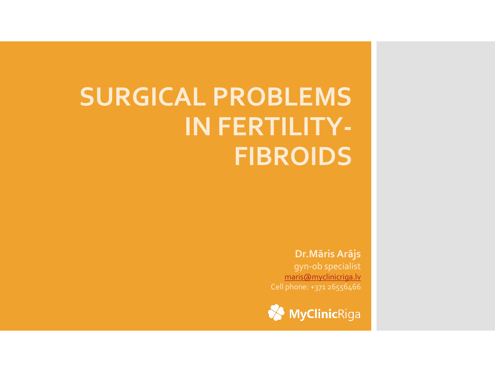## **SURGICAL PROBLEMS IN FERTILITY-FIBROIDS**

### **Dr.Māris Arājs**

gyn-ob specialist [maris@myclinicriga.lv](mailto:maris@myclinicriga.lv) Cell phone: +371 26556466

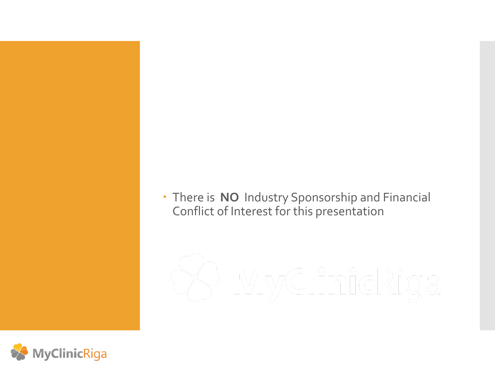There is **NO** Industry Sponsorship and Financial Conflict of Interest for this presentation

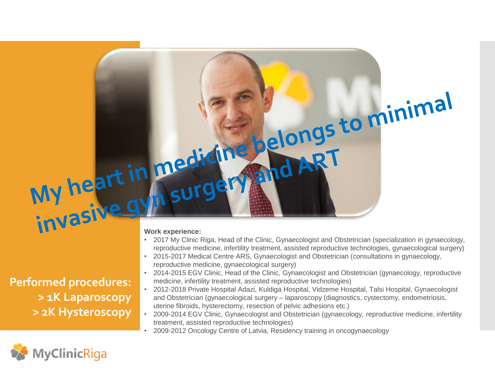**Performed procedures: > 1K Laparoscopy > 2K Hysteroscopy**

### **Work experience:**

- 2017 My Clinic Riga, Head of the Clinic, Gynaecologist and Obstetrician (specialization in gynaecology, reproductive medicine, infertility treatment, assisted reproductive technologies, gynaecological surgery)
- 2015-2017 Medical Centre ARS, Gynaecologist and Obstetrician (consultations in gynaecology, reproductive medicine, gynaecological surgery)
- 2014-2015 EGV Clinic, Head of the Clinic, Gynaecologist and Obstetrician (gynaecology, reproductive medicine, infertility treatment, assisted reproductive technologies)
- 2012-2018 Private Hospital Adazi, Kuldiga Hospital, Vidzeme Hospital, Talsi Hospital, Gynaecologist and Obstetrician (gynaecological surgery – laparoscopy (diagnostics, cystectomy, endometriosis, uterine fibroids, hysterectomy, resection of pelvic adhesions etc.)
- 2009-2014 EGV Clinic, Gynaecologist and Obstetrician (gynaecology, reproductive medicine, infertility treatment, assisted reproductive technologies)
- 2009-2012 Oncology Centre of Latvia, Residency training in oncogynaecology

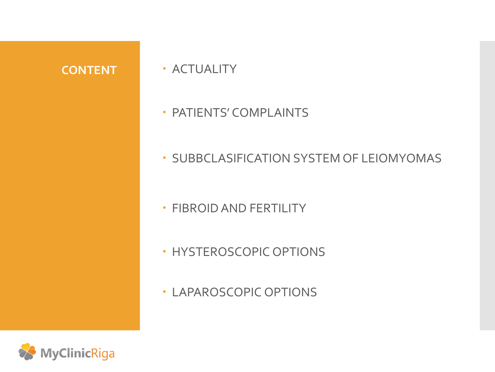- **CONTENT ACTUALITY** 
	- **PATIENTS' COMPLAINTS**
	- **SUBBCLASIFICATION SYSTEM OF LEIOMYOMAS**
	- FIBROID AND FERTILITY
	- HYSTEROSCOPIC OPTIONS
	- LAPAROSCOPIC OPTIONS

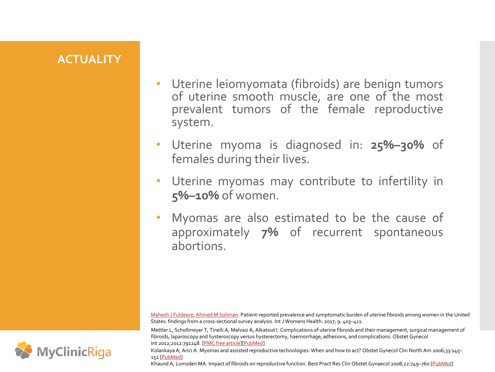### **ACTUALITY**

- Uterine leiomyomata (fibroids) are benign tumors of uterine smooth muscle, are one of the most prevalent tumors of the female reproductive system.
- Uterine myoma is diagnosed in: **25%–30%** of females during their lives.
- Uterine myomas may contribute to infertility in **5%–10%** of women.
- Myomas are also estimated to be the cause of approximately **7%** of recurrent spontaneous abortions.

[Mahesh J Fuldeore](http://europepmc.org/search/?scope=fulltext&page=1&query=AUTH:"Fuldeore MJ"), [Ahmed M Soliman](http://europepmc.org/search/?scope=fulltext&page=1&query=AUTH:"Soliman AM"). Patient-reported prevalence and symptomatic burden of uterine fibroids among women in the United States: findings from a cross-sectional survey analysis. Int J Womens Health. 2017; 9: 403–411.

Mettler L, Schollmeyer T, Tinelli A, Malvasi A, Alkatout I. Complications of uterine fibroids and their management, surgical management of fibroids, laparoscopy and hysteroscopy versus hysterectomy, haemorrhage, adhesions, and complications. Obstet Gynecol Int 2012;2012:791248. [[PMC free article\]](https://www.ncbi.nlm.nih.gov/pmc/articles/PMC3348525/)[[PubMed\]](https://www.ncbi.nlm.nih.gov/pubmed/22619681)

Kolankaya A, Arici A. Myomas and assisted reproductive technologies: When and how to act? Obstet Gynecol Clin North Am 2006;33:145– 152 [\[PubMed](https://www.ncbi.nlm.nih.gov/pubmed/16504812)]

Khaund A, Lumsden MA. Impact of fibroids on reproductive function. Best Pract Res Clin Obstet Gynaecol 2008;22:749–760 [\[PubMed\]](https://www.ncbi.nlm.nih.gov/pubmed/18547868)

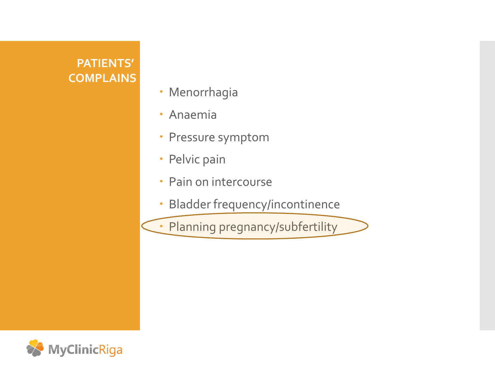### **PATIENTS' COMPLAINS**

- Menorrhagia
- Anaemia
- Pressure symptom
- Pelvic pain
- Pain on intercourse
- Bladder frequency/incontinence
- Planning pregnancy/subfertility

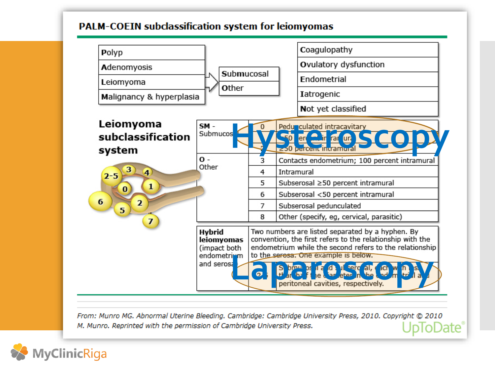### **PALM-COEIN subclassification system for leiomyomas**



From: Munro MG. Abnormal Uterine Bleeding. Cambridge: Cambridge University Press, 2010. Copyright @ 2010 M. Munro. Reprinted with the permission of Cambridge University Press. oDate<sup>®</sup>

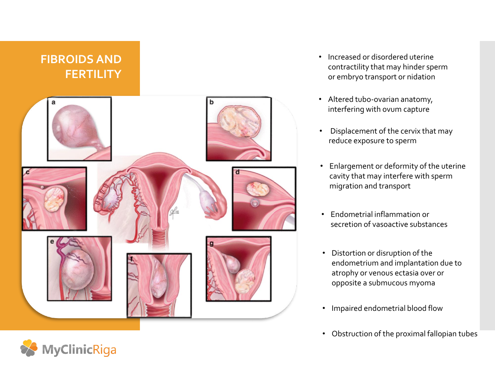# **FIBROIDS AND FERTILITY** a

- Increased or disordered uterine contractility that may hinder sperm or embryo transport or nidation
- Altered tubo-ovarian anatomy, interfering with ovum capture
- Displacement of the cervix that may reduce exposure to sperm
- Enlargement or deformity of the uterine cavity that may interfere with sperm migration and transport
- Endometrial inflammation or secretion of vasoactive substances
- Distortion or disruption of the endometrium and implantation due to atrophy or venous ectasia over or opposite a submucous myoma
- Impaired endometrial blood flow
- Obstruction of the proximal fallopian tubes

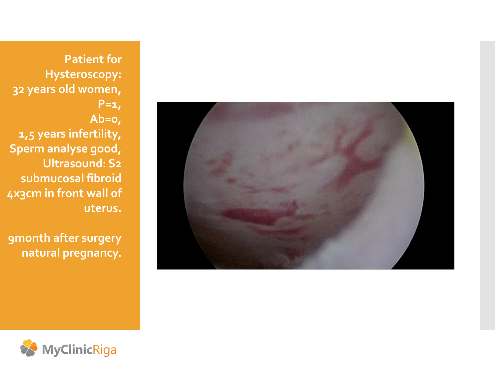

**Patient for Hysteroscopy: 32 years old women, P=1, Ab=0, 1,5 years infertility, Sperm analyse good, Ultrasound: S2 submucosal fibroid 4x3cm in front wall of uterus.**

**9month after surgery natural pregnancy.**

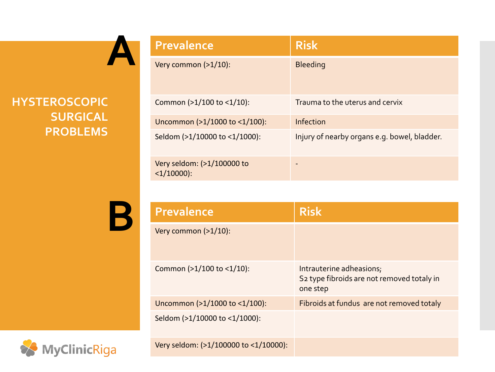

### **HYSTEROSCOPIC SURGICAL PROBLEMS**

| <b>Prevalence</b>                          | <b>Risk</b>                                  |
|--------------------------------------------|----------------------------------------------|
| Very common (>1/10):                       | <b>Bleeding</b>                              |
| Common (>1/100 to <1/10):                  | Trauma to the uterus and cervix              |
| Uncommon (>1/1000 to <1/100):              | Infection                                    |
| Seldom (>1/10000 to <1/1000):              | Injury of nearby organs e.g. bowel, bladder. |
| Very seldom: (>1/100000 to<br>$<1/10000$ : |                                              |

**B**

| <b>Prevalence</b>                     | <b>Risk</b>                                                                                    |
|---------------------------------------|------------------------------------------------------------------------------------------------|
| Very common (>1/10):                  |                                                                                                |
| Common (>1/100 to <1/10):             | Intrauterine adheasions;<br>S <sub>2</sub> type fibroids are not removed totaly in<br>one step |
| Uncommon (>1/1000 to <1/100):         | Fibroids at fundus are not removed totaly                                                      |
| Seldom (>1/10000 to <1/1000):         |                                                                                                |
| Very seldom: (>1/100000 to <1/10000): |                                                                                                |

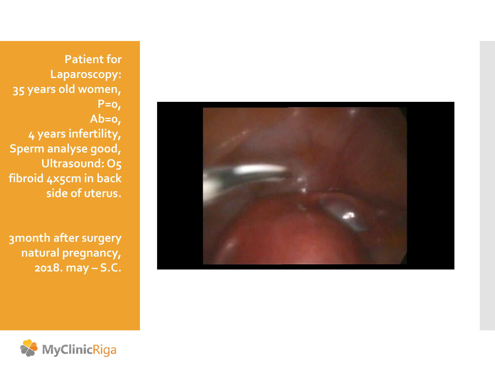

**Patient for Laparoscopy: 35 years old women, P=0, Ab=0, 4 years infertility, Sperm analyse good, Ultrasound: O5 fibroid 4x5cm in back side of uterus.**

**3month after surgery natural pregnancy, 2018. may – S.C.**

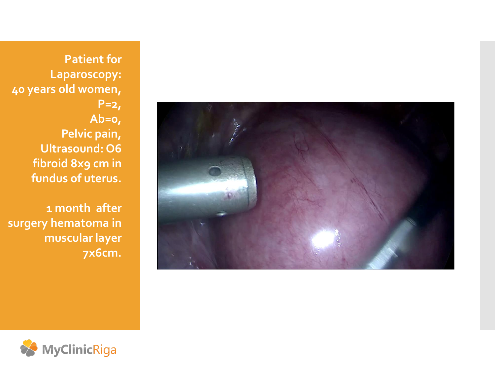**Patient for Laparoscopy: 40 years old women, P=2, Ab=0, Pelvic pain, Ultrasound: O6 fibroid 8x9 cm in fundus of uterus.**

**1 month after surgery hematoma in muscular layer 7x6cm.**

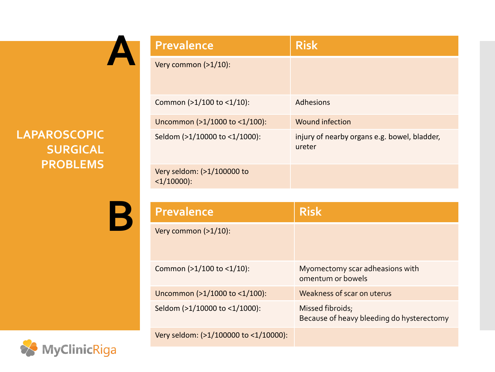

### **LAPAROSCOPIC SURGICAL PROBLEMS**

**B**

| <b>Prevalence</b>                          | <b>Risk</b>                                            |
|--------------------------------------------|--------------------------------------------------------|
| Very common $(>1/10)$ :                    |                                                        |
| Common (>1/100 to <1/10):                  | <b>Adhesions</b>                                       |
| Uncommon (>1/1000 to <1/100):              | <b>Wound infection</b>                                 |
| Seldom (>1/10000 to <1/1000):              | injury of nearby organs e.g. bowel, bladder,<br>ureter |
| Very seldom: (>1/100000 to<br>$<1/10000$ : |                                                        |
|                                            |                                                        |

| <b>Prevalence</b>                     | <b>Risk</b>                                                   |
|---------------------------------------|---------------------------------------------------------------|
| Very common $(>1/10)$ :               |                                                               |
| Common (>1/100 to <1/10):             | Myomectomy scar adheasions with<br>omentum or bowels          |
| Uncommon (>1/1000 to <1/100):         | Weakness of scar on uterus                                    |
| Seldom (>1/10000 to <1/1000):         | Missed fibroids;<br>Because of heavy bleeding do hysterectomy |
| Very seldom: (>1/100000 to <1/10000): |                                                               |

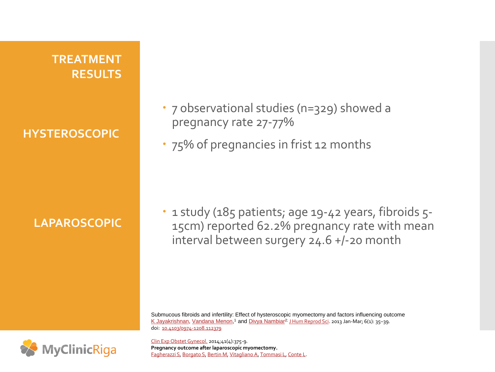### **TREATMENT RESULTS**

**HYSTEROSCOPIC** 

### **LAPAROSCOPIC**

- 7 observational studies (n=329) showed a pregnancy rate 27-77%
- 75% of pregnancies in frist 12 months

• 1 study (185 patients; age 19-42 years, fibroids 5-15cm) reported 62.2% pregnancy rate with mean interval between surgery 24.6 +/-20 month

Submucous fibroids and infertility: Effect of hysteroscopic myomectomy and factors influencing outcome [K Jayakrishnan,](https://www.ncbi.nlm.nih.gov/pubmed/?term=Jayakrishnan K[Author]&cauthor=true&cauthor_uid=23869149) <u>[Vandana Menon](https://www.ncbi.nlm.nih.gov/pubmed/?term=Menon V[Author]&cauthor=true&cauthor_uid=23869149)</u>,<sup>1</sup> and <u>[Divya Nambiar](https://www.ncbi.nlm.nih.gov/pubmed/?term=Nambiar D[Author]&cauthor=true&cauthor_uid=23869149)<sup>2;</sup> [J Hum Reprod Sci](https://www.ncbi.nlm.nih.gov/pmc/articles/PMC3713575/)</u>. 2013 Jan-Mar; 6(1): 35–39. doi: [10.4103/0974-1208.112379](https://dx.doi.org/10.4103/0974-1208.112379)



[Clin Exp Obstet Gynecol.](https://www.ncbi.nlm.nih.gov/pubmed/25134279) 2014;41(4):375-9. **Pregnancy outcome after laparoscopic myomectomy.** [Fagherazzi S,](https://www.ncbi.nlm.nih.gov/pubmed/?term=Fagherazzi S[Author]&cauthor=true&cauthor_uid=25134279) [Borgato S](https://www.ncbi.nlm.nih.gov/pubmed/?term=Borgato S[Author]&cauthor=true&cauthor_uid=25134279), [Bertin M](https://www.ncbi.nlm.nih.gov/pubmed/?term=Bertin M[Author]&cauthor=true&cauthor_uid=25134279), [Vitagliano A,](https://www.ncbi.nlm.nih.gov/pubmed/?term=Vitagliano A[Author]&cauthor=true&cauthor_uid=25134279) [Tommasi L](https://www.ncbi.nlm.nih.gov/pubmed/?term=Tommasi L[Author]&cauthor=true&cauthor_uid=25134279), [Conte L.](https://www.ncbi.nlm.nih.gov/pubmed/?term=Conte L[Author]&cauthor=true&cauthor_uid=25134279)